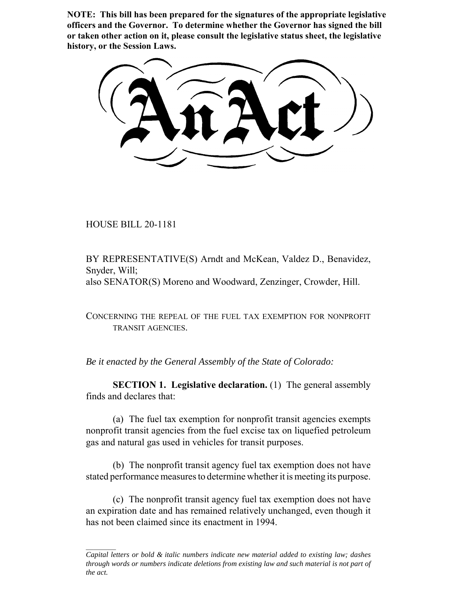**NOTE: This bill has been prepared for the signatures of the appropriate legislative officers and the Governor. To determine whether the Governor has signed the bill or taken other action on it, please consult the legislative status sheet, the legislative history, or the Session Laws.**

HOUSE BILL 20-1181

BY REPRESENTATIVE(S) Arndt and McKean, Valdez D., Benavidez, Snyder, Will; also SENATOR(S) Moreno and Woodward, Zenzinger, Crowder, Hill.

CONCERNING THE REPEAL OF THE FUEL TAX EXEMPTION FOR NONPROFIT TRANSIT AGENCIES.

*Be it enacted by the General Assembly of the State of Colorado:*

**SECTION 1. Legislative declaration.** (1) The general assembly finds and declares that:

(a) The fuel tax exemption for nonprofit transit agencies exempts nonprofit transit agencies from the fuel excise tax on liquefied petroleum gas and natural gas used in vehicles for transit purposes.

(b) The nonprofit transit agency fuel tax exemption does not have stated performance measures to determine whether it is meeting its purpose.

(c) The nonprofit transit agency fuel tax exemption does not have an expiration date and has remained relatively unchanged, even though it has not been claimed since its enactment in 1994.

*Capital letters or bold & italic numbers indicate new material added to existing law; dashes through words or numbers indicate deletions from existing law and such material is not part of the act.*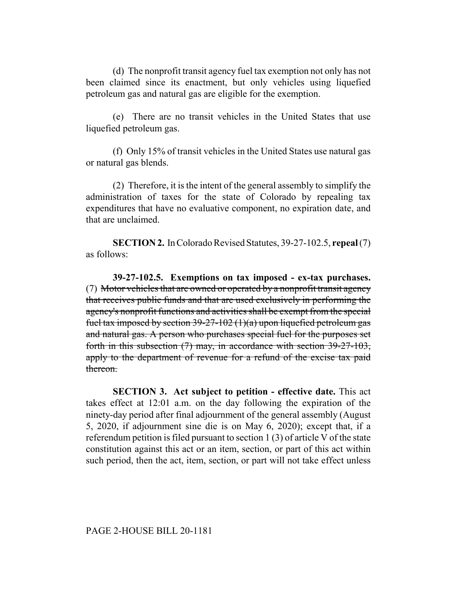(d) The nonprofit transit agency fuel tax exemption not only has not been claimed since its enactment, but only vehicles using liquefied petroleum gas and natural gas are eligible for the exemption.

(e) There are no transit vehicles in the United States that use liquefied petroleum gas.

(f) Only 15% of transit vehicles in the United States use natural gas or natural gas blends.

(2) Therefore, it is the intent of the general assembly to simplify the administration of taxes for the state of Colorado by repealing tax expenditures that have no evaluative component, no expiration date, and that are unclaimed.

**SECTION 2.** In Colorado Revised Statutes, 39-27-102.5, **repeal** (7) as follows:

**39-27-102.5. Exemptions on tax imposed - ex-tax purchases.** (7) Motor vehicles that are owned or operated by a nonprofit transit agency that receives public funds and that are used exclusively in performing the agency's nonprofit functions and activities shall be exempt from the special fuel tax imposed by section 39-27-102  $(1)(a)$  upon liquefied petroleum gas and natural gas. A person who purchases special fuel for the purposes set forth in this subsection (7) may, in accordance with section 39-27-103, apply to the department of revenue for a refund of the excise tax paid thereon.

**SECTION 3. Act subject to petition - effective date.** This act takes effect at 12:01 a.m. on the day following the expiration of the ninety-day period after final adjournment of the general assembly (August 5, 2020, if adjournment sine die is on May 6, 2020); except that, if a referendum petition is filed pursuant to section 1 (3) of article V of the state constitution against this act or an item, section, or part of this act within such period, then the act, item, section, or part will not take effect unless